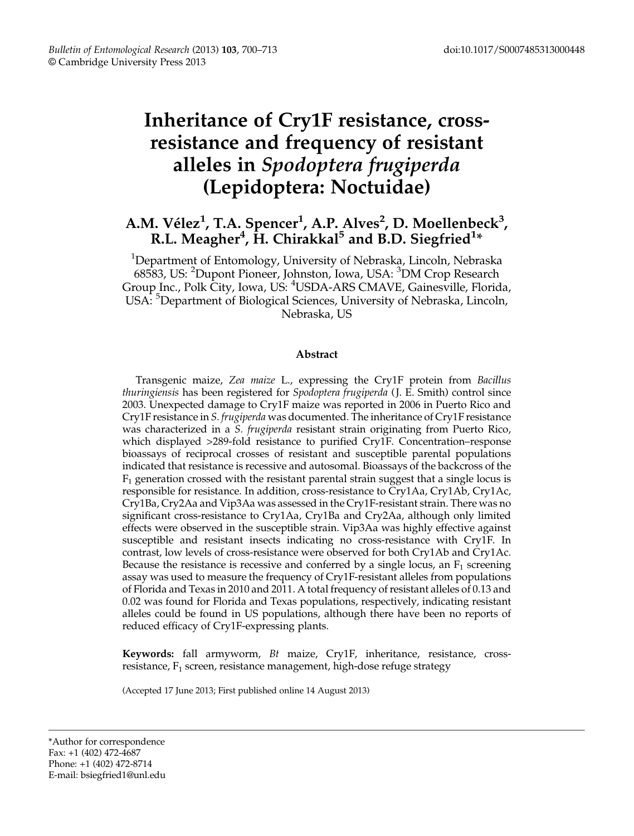# Inheritance of Cry1F resistance, crossresistance and frequency of resistant alleles in Spodoptera frugiperda (Lepidoptera: Noctuidae)

# A.M. Vélez<sup>1</sup>, T.A. Spencer<sup>1</sup>, A.P. Alves<sup>2</sup>, D. Moellenbeck<sup>3</sup>, R.L. Meagher $^4$ ,  $\rm \dot{H}$ . Chirakkal $^5$  and B.D. Siegfried $^{1*}$

<sup>1</sup>Department of Entomology, University of Nebraska, Lincoln, Nebraska 68583, US: <sup>2</sup>Dupont Pioneer, Johnston, Iowa, USA: <sup>3</sup>DM Crop Research Group Inc., Polk City, Iowa, US: <sup>4</sup> USDA-ARS CMAVE, Gainesville, Florida, USA: <sup>5</sup>Department of Biological Sciences, University of Nebraska, Lincoln, Nebraska, US

# Abstract

Transgenic maize, Zea maize L., expressing the Cry1F protein from Bacillus thuringiensis has been registered for Spodoptera frugiperda (J. E. Smith) control since 2003. Unexpected damage to Cry1F maize was reported in 2006 in Puerto Rico and Cry1F resistance in S. frugiperda was documented. The inheritance of Cry1F resistance was characterized in a *S. frugiperda* resistant strain originating from Puerto Rico, which displayed >289-fold resistance to purified Cry1F. Concentration–response bioassays of reciprocal crosses of resistant and susceptible parental populations indicated that resistance is recessive and autosomal. Bioassays of the backcross of the  $F_1$  generation crossed with the resistant parental strain suggest that a single locus is responsible for resistance. In addition, cross-resistance to Cry1Aa, Cry1Ab, Cry1Ac, Cry1Ba, Cry2Aa and Vip3Aa was assessed in the Cry1F-resistant strain. There was no significant cross-resistance to Cry1Aa, Cry1Ba and Cry2Aa, although only limited effects were observed in the susceptible strain. Vip3Aa was highly effective against susceptible and resistant insects indicating no cross-resistance with Cry1F. In contrast, low levels of cross-resistance were observed for both Cry1Ab and Cry1Ac. Because the resistance is recessive and conferred by a single locus, an  $F_1$  screening assay was used to measure the frequency of Cry1F-resistant alleles from populations of Florida and Texas in 2010 and 2011. A total frequency of resistant alleles of 0.13 and 0.02 was found for Florida and Texas populations, respectively, indicating resistant alleles could be found in US populations, although there have been no reports of reduced efficacy of Cry1F-expressing plants.

Keywords: fall armyworm, Bt maize, Cry1F, inheritance, resistance, crossresistance,  $F_1$  screen, resistance management, high-dose refuge strategy

(Accepted 17 June 2013; First published online 14 August 2013)

\*Author for correspondence Fax: +1 (402) 472-4687 Phone: +1 (402) 472-8714 E-mail: bsiegfried1@unl.edu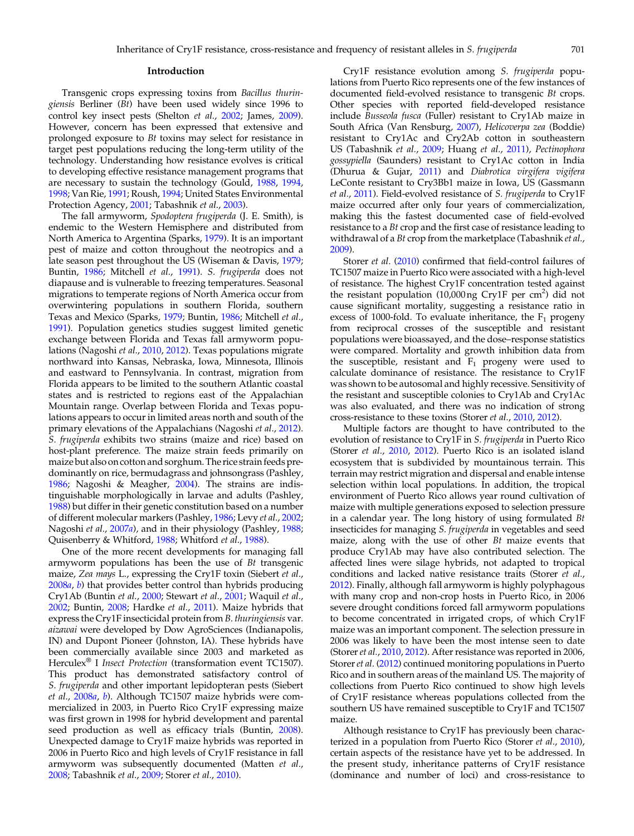### Introduction

Transgenic crops expressing toxins from Bacillus thuringiensis Berliner (Bt) have been used widely since 1996 to control key insect pests (Shelton et al., [2002](#page-12-0); James, [2009\)](#page-11-0). However, concern has been expressed that extensive and prolonged exposure to Bt toxins may select for resistance in target pest populations reducing the long-term utility of the technology. Understanding how resistance evolves is critical to developing effective resistance management programs that are necessary to sustain the technology (Gould, [1988,](#page-11-0) [1994](#page-11-0), [1998](#page-11-0); Van Rie, [1991;](#page-12-0) Roush, [1994;](#page-12-0) United States Environmental Protection Agency, [2001;](#page-12-0) Tabashnik et al., [2003](#page-12-0)).

The fall armyworm, Spodoptera frugiperda (J. E. Smith), is endemic to the Western Hemisphere and distributed from North America to Argentina (Sparks, [1979](#page-12-0)). It is an important pest of maize and cotton throughout the neotropics and a late season pest throughout the US (Wiseman & Davis, [1979](#page-13-0); Buntin, [1986](#page-10-0); Mitchell et al., [1991](#page-11-0)). S. frugiperda does not diapause and is vulnerable to freezing temperatures. Seasonal migrations to temperate regions of North America occur from overwintering populations in southern Florida, southern Texas and Mexico (Sparks, [1979](#page-12-0); Buntin, [1986;](#page-10-0) Mitchell et al., [1991](#page-11-0)). Population genetics studies suggest limited genetic exchange between Florida and Texas fall armyworm populations (Nagoshi et al., [2010](#page-11-0), [2012\)](#page-11-0). Texas populations migrate northward into Kansas, Nebraska, Iowa, Minnesota, Illinois and eastward to Pennsylvania. In contrast, migration from Florida appears to be limited to the southern Atlantic coastal states and is restricted to regions east of the Appalachian Mountain range. Overlap between Florida and Texas populations appears to occur in limited areas north and south of the primary elevations of the Appalachians (Nagoshi et al., [2012\)](#page-11-0). S. frugiperda exhibits two strains (maize and rice) based on host-plant preference. The maize strain feeds primarily on maize but also on cotton and sorghum. The rice strain feeds predominantly on rice, bermudagrass and johnsongrass (Pashley, [1986](#page-11-0); Nagoshi & Meagher, [2004](#page-11-0)). The strains are indistinguishable morphologically in larvae and adults (Pashley, [1988](#page-11-0)) but differ in their genetic constitution based on a number of different molecular markers (Pashley, [1986;](#page-11-0) Levy et al., [2002](#page-11-0); Nagoshi et al., [2007](#page-11-0)a), and in their physiology (Pashley, [1988](#page-11-0); Quisenberry & Whitford, [1988;](#page-12-0) Whitford et al., [1988](#page-12-0)).

One of the more recent developments for managing fall armyworm populations has been the use of Bt transgenic maize, Zea mays L., expressing the Cry1F toxin (Siebert et al., [2008](#page-12-0)a, [b](#page-12-0)) that provides better control than hybrids producing Cry1Ab (Buntin et al., [2000](#page-10-0); Stewart et al., [2001](#page-12-0); Waquil et al., [2002](#page-12-0); Buntin, [2008](#page-10-0); Hardke et al., [2011\)](#page-11-0). Maize hybrids that express the Cry1F insecticidal protein from B. thuringiensis var. aizawai were developed by Dow AgroSciences (Indianapolis, IN) and Dupont Pioneer (Johnston, IA). These hybrids have been commercially available since 2003 and marketed as Herculex<sup>®</sup> I *Insect Protection* (transformation event TC1507). This product has demonstrated satisfactory control of S. frugiperda and other important lepidopteran pests (Siebert et al., [2008](#page-12-0)a, [b](#page-12-0)). Although TC1507 maize hybrids were commercialized in 2003, in Puerto Rico Cry1F expressing maize was first grown in 1998 for hybrid development and parental seed production as well as efficacy trials (Buntin, [2008\)](#page-10-0). Unexpected damage to Cry1F maize hybrids was reported in 2006 in Puerto Rico and high levels of Cry1F resistance in fall armyworm was subsequently documented (Matten et al., [2008](#page-11-0); Tabashnik et al., [2009;](#page-12-0) Storer et al., [2010\)](#page-12-0).

Cry1F resistance evolution among S. frugiperda populations from Puerto Rico represents one of the few instances of documented field-evolved resistance to transgenic Bt crops. Other species with reported field-developed resistance include Busseola fusca (Fuller) resistant to Cry1Ab maize in South Africa (Van Rensburg, [2007\)](#page-12-0), Helicoverpa zea (Boddie) resistant to Cry1Ac and Cry2Ab cotton in southeastern US (Tabashnik et al., [2009](#page-12-0); Huang et al., [2011\)](#page-11-0), Pectinophora gossypiella (Saunders) resistant to Cry1Ac cotton in India (Dhurua & Gujar, [2011](#page-10-0)) and Diabrotica virgifera vigifera LeConte resistant to Cry3Bb1 maize in Iowa, US (Gassmann et al., [2011\)](#page-11-0). Field-evolved resistance of S. frugiperda to Cry1F maize occurred after only four years of commercialization, making this the fastest documented case of field-evolved resistance to a Bt crop and the first case of resistance leading to withdrawal of a Bt crop from the marketplace (Tabashnik et al., [2009](#page-12-0)).

Storer et al. ([2010\)](#page-12-0) confirmed that field-control failures of TC1507 maize in Puerto Rico were associated with a high-level of resistance. The highest Cry1F concentration tested against the resistant population  $(10,000 \text{ ng }$  Cry1F per cm<sup>2</sup>) did not cause significant mortality, suggesting a resistance ratio in excess of 1000-fold. To evaluate inheritance, the  $F_1$  progeny from reciprocal crosses of the susceptible and resistant populations were bioassayed, and the dose–response statistics were compared. Mortality and growth inhibition data from the susceptible, resistant and  $F_1$  progeny were used to calculate dominance of resistance. The resistance to Cry1F was shown to be autosomal and highly recessive. Sensitivity of the resistant and susceptible colonies to Cry1Ab and Cry1Ac was also evaluated, and there was no indication of strong cross-resistance to these toxins (Storer et al., [2010,](#page-12-0) [2012](#page-12-0)).

Multiple factors are thought to have contributed to the evolution of resistance to Cry1F in S. frugiperda in Puerto Rico (Storer et al., [2010](#page-12-0), [2012](#page-12-0)). Puerto Rico is an isolated island ecosystem that is subdivided by mountainous terrain. This terrain may restrict migration and dispersal and enable intense selection within local populations. In addition, the tropical environment of Puerto Rico allows year round cultivation of maize with multiple generations exposed to selection pressure in a calendar year. The long history of using formulated Bt insecticides for managing S. frugiperda in vegetables and seed maize, along with the use of other Bt maize events that produce Cry1Ab may have also contributed selection. The affected lines were silage hybrids, not adapted to tropical conditions and lacked native resistance traits (Storer et al., [2012](#page-12-0)). Finally, although fall armyworm is highly polyphagous with many crop and non-crop hosts in Puerto Rico, in 2006 severe drought conditions forced fall armyworm populations to become concentrated in irrigated crops, of which Cry1F maize was an important component. The selection pressure in 2006 was likely to have been the most intense seen to date (Storer et al., [2010,](#page-12-0) [2012\)](#page-12-0). After resistance was reported in 2006, Storer et al. ([2012\)](#page-12-0) continued monitoring populations in Puerto Rico and in southern areas of the mainland US. The majority of collections from Puerto Rico continued to show high levels of Cry1F resistance whereas populations collected from the southern US have remained susceptible to Cry1F and TC1507 maize.

Although resistance to Cry1F has previously been charac-terized in a population from Puerto Rico (Storer et al., [2010\)](#page-12-0), certain aspects of the resistance have yet to be addressed. In the present study, inheritance patterns of Cry1F resistance (dominance and number of loci) and cross-resistance to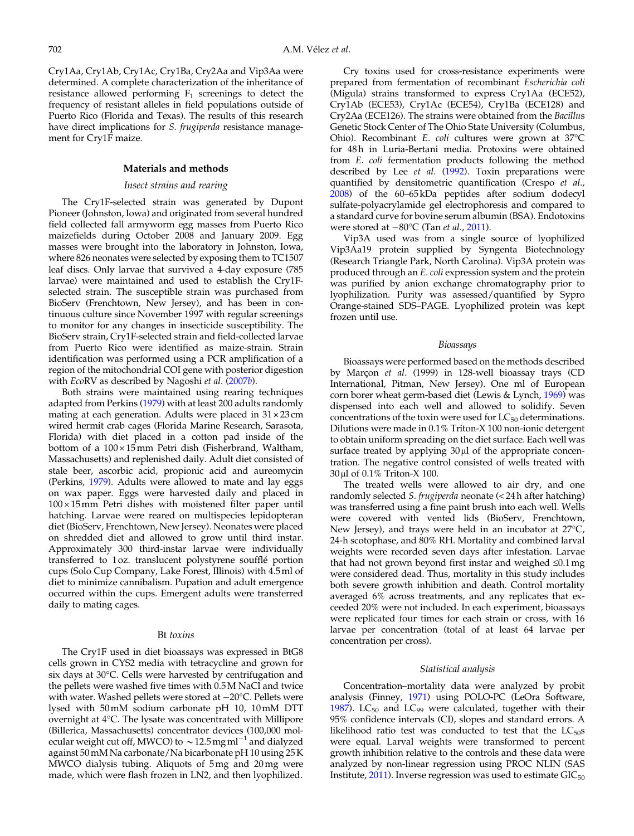Cry1Aa, Cry1Ab, Cry1Ac, Cry1Ba, Cry2Aa and Vip3Aa were determined. A complete characterization of the inheritance of resistance allowed performing  $F_1$  screenings to detect the frequency of resistant alleles in field populations outside of Puerto Rico (Florida and Texas). The results of this research have direct implications for *S. frugiperda* resistance management for Cry1F maize.

# Materials and methods

#### Insect strains and rearing

The Cry1F-selected strain was generated by Dupont Pioneer (Johnston, Iowa) and originated from several hundred field collected fall armyworm egg masses from Puerto Rico maizefields during October 2008 and January 2009. Egg masses were brought into the laboratory in Johnston, Iowa, where 826 neonates were selected by exposing them to TC1507 leaf discs. Only larvae that survived a 4-day exposure (785 larvae) were maintained and used to establish the Cry1Fselected strain. The susceptible strain was purchased from BioServ (Frenchtown, New Jersey), and has been in continuous culture since November 1997 with regular screenings to monitor for any changes in insecticide susceptibility. The BioServ strain, Cry1F-selected strain and field-collected larvae from Puerto Rico were identified as maize-strain. Strain identification was performed using a PCR amplification of a region of the mitochondrial COI gene with posterior digestion with EcoRV as described by Nagoshi et al. ([2007](#page-11-0)b).

Both strains were maintained using rearing techniques adapted from Perkins ([1979\)](#page-12-0) with at least 200 adults randomly mating at each generation. Adults were placed in  $31 \times 23$  cm wired hermit crab cages (Florida Marine Research, Sarasota, Florida) with diet placed in a cotton pad inside of the bottom of a 100 × 15mm Petri dish (Fisherbrand, Waltham, Massachusetts) and replenished daily. Adult diet consisted of stale beer, ascorbic acid, propionic acid and aureomycin (Perkins, [1979\)](#page-12-0). Adults were allowed to mate and lay eggs on wax paper. Eggs were harvested daily and placed in  $100 \times 15$  mm Petri dishes with moistened filter paper until hatching. Larvae were reared on multispecies lepidopteran diet (BioServ, Frenchtown, New Jersey). Neonates were placed on shredded diet and allowed to grow until third instar. Approximately 300 third-instar larvae were individually transferred to 1 oz. translucent polystyrene soufflé portion cups (Solo Cup Company, Lake Forest, Illinois) with 4.5ml of diet to minimize cannibalism. Pupation and adult emergence occurred within the cups. Emergent adults were transferred daily to mating cages.

#### Bt toxins

The Cry1F used in diet bioassays was expressed in BtG8 cells grown in CYS2 media with tetracycline and grown for six days at 30°C. Cells were harvested by centrifugation and the pellets were washed five times with 0.5M NaCl and twice with water. Washed pellets were stored at  $-20^{\circ}$ C. Pellets were lysed with 50mM sodium carbonate pH 10, 10mM DTT overnight at 4°C. The lysate was concentrated with Millipore (Billerica, Massachusetts) concentrator devices (100,000 molecular weight cut off, MWCO) to  $\sim$  12.5 mg ml<sup>-1</sup> and dialyzed against 50mM Na carbonate/Na bicarbonate pH 10 using 25 K MWCO dialysis tubing. Aliquots of 5mg and 20mg were made, which were flash frozen in LN2, and then lyophilized.

Cry toxins used for cross-resistance experiments were prepared from fermentation of recombinant Escherichia coli (Migula) strains transformed to express Cry1Aa (ECE52), Cry1Ab (ECE53), Cry1Ac (ECE54), Cry1Ba (ECE128) and Cry2Aa (ECE126). The strains were obtained from the Bacillus Genetic Stock Center of The Ohio State University (Columbus, Ohio). Recombinant E. coli cultures were grown at 37°C for 48h in Luria-Bertani media. Protoxins were obtained from E. coli fermentation products following the method described by Lee et al. [\(1992\)](#page-11-0). Toxin preparations were quantified by densitometric quantification (Crespo et al., [2008](#page-10-0)) of the 60–65 kDa peptides after sodium dodecyl sulfate-polyacrylamide gel electrophoresis and compared to a standard curve for bovine serum albumin (BSA). Endotoxins were stored at  $-80^{\circ}$ C (Tan *et al.*, [2011\)](#page-12-0).

Vip3A used was from a single source of lyophilized Vip3Aa19 protein supplied by Syngenta Biotechnology (Research Triangle Park, North Carolina). Vip3A protein was produced through an E. coli expression system and the protein was purified by anion exchange chromatography prior to lyophilization. Purity was assessed/quantified by Sypro Orange-stained SDS–PAGE. Lyophilized protein was kept frozen until use.

#### Bioassays

Bioassays were performed based on the methods described by Marçon et al. (1999) in 128-well bioassay trays (CD International, Pitman, New Jersey). One ml of European corn borer wheat germ-based diet (Lewis & Lynch, [1969\)](#page-11-0) was dispensed into each well and allowed to solidify. Seven concentrations of the toxin were used for  $LC_{50}$  determinations. Dilutions were made in 0.1% Triton-X 100 non-ionic detergent to obtain uniform spreading on the diet surface. Each well was surface treated by applying 30μl of the appropriate concentration. The negative control consisted of wells treated with 30μl of 0.1% Triton-X 100.

The treated wells were allowed to air dry, and one randomly selected S. frugiperda neonate (< 24 h after hatching) was transferred using a fine paint brush into each well. Wells were covered with vented lids (BioServ, Frenchtown, New Jersey), and trays were held in an incubator at 27°C, 24-h scotophase, and 80% RH. Mortality and combined larval weights were recorded seven days after infestation. Larvae that had not grown beyond first instar and weighed ≤0.1mg were considered dead. Thus, mortality in this study includes both severe growth inhibition and death. Control mortality averaged 6% across treatments, and any replicates that exceeded 20% were not included. In each experiment, bioassays were replicated four times for each strain or cross, with 16 larvae per concentration (total of at least 64 larvae per concentration per cross).

### Statistical analysis

Concentration–mortality data were analyzed by probit analysis (Finney, [1971](#page-11-0)) using POLO-PC (LeOra Software, [1987](#page-11-0)).  $LC_{50}$  and  $LC_{99}$  were calculated, together with their 95% confidence intervals (CI), slopes and standard errors. A likelihood ratio test was conducted to test that the  $LC_{50}$ s were equal. Larval weights were transformed to percent growth inhibition relative to the controls and these data were analyzed by non-linear regression using PROC NLIN (SAS Institute,  $2011$ ). Inverse regression was used to estimate  $GIC_{50}$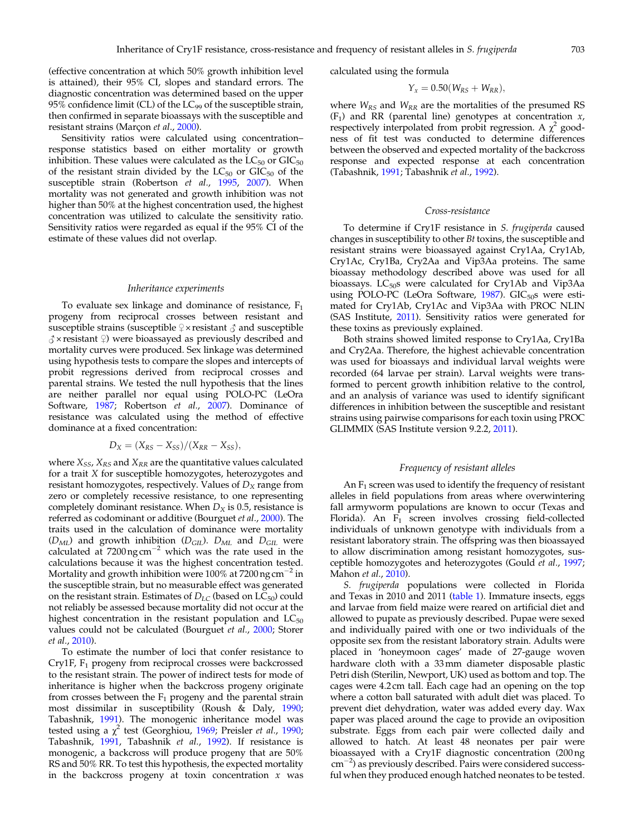(effective concentration at which 50% growth inhibition level is attained), their 95% CI, slopes and standard errors. The diagnostic concentration was determined based on the upper 95% confidence limit (CL) of the  $LC_{99}$  of the susceptible strain, then confirmed in separate bioassays with the susceptible and resistant strains (Marçon et al., [2000\)](#page-11-0).

Sensitivity ratios were calculated using concentration– response statistics based on either mortality or growth inhibition. These values were calculated as the  $LC_{50}$  or  $GIC_{50}$ of the resistant strain divided by the  $LC_{50}$  or  $GIC_{50}$  of the susceptible strain (Robertson et al., [1995](#page-12-0), [2007\)](#page-12-0). When mortality was not generated and growth inhibition was not higher than 50% at the highest concentration used, the highest concentration was utilized to calculate the sensitivity ratio. Sensitivity ratios were regarded as equal if the 95% CI of the estimate of these values did not overlap.

#### Inheritance experiments

To evaluate sex linkage and dominance of resistance,  $F_1$ progeny from reciprocal crosses between resistant and susceptible strains (susceptible  $\varphi \times$  resistant  $\varphi$  and susceptible  $\beta$  × resistant  $\circ$ ) were bioassayed as previously described and mortality curves were produced. Sex linkage was determined using hypothesis tests to compare the slopes and intercepts of probit regressions derived from reciprocal crosses and parental strains. We tested the null hypothesis that the lines are neither parallel nor equal using POLO-PC (LeOra Software, [1987](#page-11-0); Robertson et al., [2007\)](#page-12-0). Dominance of resistance was calculated using the method of effective dominance at a fixed concentration:

$$
D_X = (X_{RS} - X_{SS})/(X_{RR} - X_{SS}),
$$

where  $X_{SS}$ ,  $X_{RS}$  and  $X_{RR}$  are the quantitative values calculated for a trait X for susceptible homozygotes, heterozygotes and resistant homozygotes, respectively. Values of  $D<sub>X</sub>$  range from zero or completely recessive resistance, to one representing completely dominant resistance. When  $D_X$  is 0.5, resistance is referred as codominant or additive (Bourguet et al., [2000\)](#page-10-0). The traits used in the calculation of dominance were mortality  $(D<sub>ML</sub>)$  and growth inhibition  $(D<sub>GIL</sub>)$ .  $D<sub>ML</sub>$  and  $D<sub>GIL</sub>$  were calculated at  $7200$  ng cm<sup>-2</sup> which was the rate used in the calculations because it was the highest concentration tested. Mortality and growth inhibition were 100% at  $7200$  ng cm<sup>-2</sup> in the susceptible strain, but no measurable effect was generated on the resistant strain. Estimates of  $D_{LC}$  (based on  $LC_{50}$ ) could not reliably be assessed because mortality did not occur at the highest concentration in the resistant population and  $LC_{50}$ values could not be calculated (Bourguet et al., [2000;](#page-10-0) Storer et al., [2010\)](#page-12-0).

To estimate the number of loci that confer resistance to Cry1F, F1 progeny from reciprocal crosses were backcrossed to the resistant strain. The power of indirect tests for mode of inheritance is higher when the backcross progeny originate from crosses between the  $F_1$  progeny and the parental strain most dissimilar in susceptibility (Roush & Daly, [1990](#page-12-0); Tabashnik, [1991](#page-12-0)). The monogenic inheritance model was tested using a  $\chi^2$  test (Georghiou, [1969;](#page-11-0) Preisler et al., [1990](#page-12-0); Tabashnik, [1991,](#page-12-0) Tabashnik et al., [1992\)](#page-12-0). If resistance is monogenic, a backcross will produce progeny that are 50% RS and 50% RR. To test this hypothesis, the expected mortality in the backcross progeny at toxin concentration  $x$  was

calculated using the formula

$$
Y_x=0.50(W_{RS}+W_{RR}),
$$

where  $W_{RS}$  and  $W_{RR}$  are the mortalities of the presumed RS  $(F_1)$  and RR (parental line) genotypes at concentration x, respectively interpolated from probit regression. A  $\chi^2$  goodness of fit test was conducted to determine differences between the observed and expected mortality of the backcross response and expected response at each concentration (Tabashnik, [1991](#page-12-0); Tabashnik et al., [1992\)](#page-12-0).

### Cross-resistance

To determine if Cry1F resistance in S. frugiperda caused changes in susceptibility to other Bt toxins, the susceptible and resistant strains were bioassayed against Cry1Aa, Cry1Ab, Cry1Ac, Cry1Ba, Cry2Aa and Vip3Aa proteins. The same bioassay methodology described above was used for all bioassays.  $LC_{50}$ s were calculated for Cry1Ab and Vip3Aa using POLO-PC (LeOra Software,  $1987$ ). GIC<sub>50</sub>s were estimated for Cry1Ab, Cry1Ac and Vip3Aa with PROC NLIN (SAS Institute, [2011](#page-12-0)). Sensitivity ratios were generated for these toxins as previously explained.

Both strains showed limited response to Cry1Aa, Cry1Ba and Cry2Aa. Therefore, the highest achievable concentration was used for bioassays and individual larval weights were recorded (64 larvae per strain). Larval weights were transformed to percent growth inhibition relative to the control, and an analysis of variance was used to identify significant differences in inhibition between the susceptible and resistant strains using pairwise comparisons for each toxin using PROC GLIMMIX (SAS Institute version 9.2.2, [2011\)](#page-12-0).

### Frequency of resistant alleles

An  $F_1$  screen was used to identify the frequency of resistant alleles in field populations from areas where overwintering fall armyworm populations are known to occur (Texas and Florida). An  $F_1$  screen involves crossing field-collected individuals of unknown genotype with individuals from a resistant laboratory strain. The offspring was then bioassayed to allow discrimination among resistant homozygotes, susceptible homozygotes and heterozygotes (Gould et al., [1997](#page-11-0); Mahon et al., [2010](#page-11-0)).

S. frugiperda populations were collected in Florida and Texas in 2010 and 2011 ([table 1\)](#page-4-0). Immature insects, eggs and larvae from field maize were reared on artificial diet and allowed to pupate as previously described. Pupae were sexed and individually paired with one or two individuals of the opposite sex from the resistant laboratory strain. Adults were placed in 'honeymoon cages' made of 27-gauge woven hardware cloth with a 33mm diameter disposable plastic Petri dish (Sterilin, Newport, UK) used as bottom and top. The cages were 4.2 cm tall. Each cage had an opening on the top where a cotton ball saturated with adult diet was placed. To prevent diet dehydration, water was added every day. Wax paper was placed around the cage to provide an oviposition substrate. Eggs from each pair were collected daily and allowed to hatch. At least 48 neonates per pair were bioassayed with a Cry1F diagnostic concentration (200 ng cm<sup>-2</sup>) as previously described. Pairs were considered successful when they produced enough hatched neonates to be tested.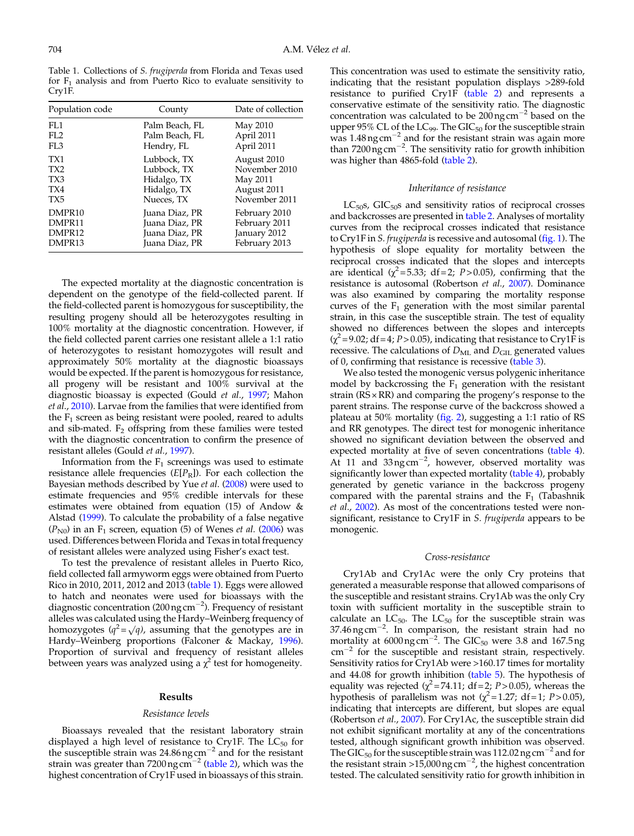<span id="page-4-0"></span>Table 1. Collections of S. frugiperda from Florida and Texas used for  $F_1$  analysis and from Puerto Rico to evaluate sensitivity to Cry1F.

| Population code    | County         | Date of collection |
|--------------------|----------------|--------------------|
| FL1                | Palm Beach, FL | May 2010           |
| FI.2               | Palm Beach, FL | April 2011         |
| FI.3               | Hendry, FL     | April 2011         |
| TX1                | Lubbock, TX    | August 2010        |
| TX2                | Lubbock, TX    | November 2010      |
| TX3                | Hidalgo, TX    | May 2011           |
| TX4                | Hidalgo, TX    | August 2011        |
| TX <sub>5</sub>    | Nueces, TX     | November 2011      |
| DMPR <sub>10</sub> | Juana Diaz, PR | February 2010      |
| DMPR11             | Juana Diaz, PR | February 2011      |
| DMPR12             | Juana Diaz, PR | January 2012       |
| DMPR13             | Juana Diaz, PR | February 2013      |

The expected mortality at the diagnostic concentration is dependent on the genotype of the field-collected parent. If the field-collected parent is homozygous for susceptibility, the resulting progeny should all be heterozygotes resulting in 100% mortality at the diagnostic concentration. However, if the field collected parent carries one resistant allele a 1:1 ratio of heterozygotes to resistant homozygotes will result and approximately 50% mortality at the diagnostic bioassays would be expected. If the parent is homozygous for resistance, all progeny will be resistant and 100% survival at the diagnostic bioassay is expected (Gould et al., [1997;](#page-11-0) Mahon et al., [2010\)](#page-11-0). Larvae from the families that were identified from the  $F_1$  screen as being resistant were pooled, reared to adults and sib-mated.  $F_2$  offspring from these families were tested with the diagnostic concentration to confirm the presence of resistant alleles (Gould et al., [1997](#page-11-0)).

Information from the  $F_1$  screenings was used to estimate resistance allele frequencies  $(E[P_R])$ . For each collection the Bayesian methods described by Yue et al. ([2008\)](#page-13-0) were used to estimate frequencies and 95% credible intervals for these estimates were obtained from equation (15) of Andow & Alstad [\(1999](#page-10-0)). To calculate the probability of a false negative  $(P_{N0})$  in an F<sub>1</sub> screen, equation (5) of Wenes *et al.* [\(2006](#page-12-0)) was used. Differences between Florida and Texas in total frequency of resistant alleles were analyzed using Fisher's exact test.

To test the prevalence of resistant alleles in Puerto Rico, field collected fall armyworm eggs were obtained from Puerto Rico in 2010, 2011, 2012 and 2013 (table 1). Eggs were allowed to hatch and neonates were used for bioassays with the diagnostic concentration (200 ng cm<sup>-2</sup>). Frequency of resistant alleles was calculated using the Hardy–Weinberg frequency of homozygotes ( $q^2 = \sqrt{q}$ ), assuming that the genotypes are in Hardy–Weinberg proportions (Falconer & Mackay, [1996\)](#page-11-0). Proportion of survival and frequency of resistant alleles between years was analyzed using a  $\chi^2$  test for homogeneity.

#### Results

#### Resistance levels

Bioassays revealed that the resistant laboratory strain displayed a high level of resistance to Cry1F. The LC<sub>50</sub> for<br>the susceptible strain was 24.86ng cm<sup>-2</sup> and for the resistant strain was greater than 7200 ng cm<sup>-2</sup> [\(table 2\)](#page-5-0), which was the highest concentration of Cry1F used in bioassays of this strain.

This concentration was used to estimate the sensitivity ratio, indicating that the resistant population displays >289-fold resistance to purified Cry1F [\(table 2](#page-5-0)) and represents a conservative estimate of the sensitivity ratio. The diagnostic concentration was calculated to be  $200$  ng cm<sup>-2</sup> based on the upper 95% CL of the  $LC_{99}$ . The  $GIC_{50}$  for the susceptible strain was  $1.48$  ng cm<sup>-2</sup> and for the resistant strain was again more than  $7200$  ng cm<sup>-2</sup>. The sensitivity ratio for growth inhibition was higher than 4865-fold ([table 2\)](#page-5-0).

### Inheritance of resistance

 $LC_{50}$ s, GIC<sub>50</sub>s and sensitivity ratios of reciprocal crosses and backcrosses are presented in [table 2.](#page-5-0) Analyses of mortality curves from the reciprocal crosses indicated that resistance to Cry1F in S. frugiperda is recessive and autosomal ([fig. 1\)](#page-6-0). The hypothesis of slope equality for mortality between the reciprocal crosses indicated that the slopes and intercepts are identical  $(\chi^2 = 5.33; df = 2; P > 0.05)$ , confirming that the resistance is autosomal (Robertson et al., [2007](#page-12-0)). Dominance was also examined by comparing the mortality response curves of the  $F_1$  generation with the most similar parental strain, in this case the susceptible strain. The test of equality showed no differences between the slopes and intercepts  $(\chi^2 = 9.02; df = 4; P > 0.05)$ , indicating that resistance to Cry1F is recessive. The calculations of  $D_{ML}$  and  $D_{GH}$  generated values of 0, confirming that resistance is recessive [\(table 3\)](#page-6-0).

We also tested the monogenic versus polygenic inheritance model by backcrossing the  $F_1$  generation with the resistant strain (RS ×RR) and comparing the progeny's response to the parent strains. The response curve of the backcross showed a plateau at 50% mortality ([fig. 2\)](#page-7-0), suggesting a 1:1 ratio of RS and RR genotypes. The direct test for monogenic inheritance showed no significant deviation between the observed and expected mortality at five of seven concentrations ([table 4\)](#page-7-0). At 11 and  $33$ ng cm<sup>-2</sup>, however, observed mortality was significantly lower than expected mortality ([table 4](#page-7-0)), probably generated by genetic variance in the backcross progeny compared with the parental strains and the  $F_1$  (Tabashnik et al., [2002](#page-12-0)). As most of the concentrations tested were nonsignificant, resistance to Cry1F in S. frugiperda appears to be monogenic.

#### Cross-resistance

Cry1Ab and Cry1Ac were the only Cry proteins that generated a measurable response that allowed comparisons of the susceptible and resistant strains. Cry1Ab was the only Cry toxin with sufficient mortality in the susceptible strain to calculate an  $LC_{50}$ . The  $LC_{50}$  for the susceptible strain was 37.46 ng cm<sup>-2</sup>. In comparison, the resistant strain had no mortality at  $6000 \text{ ng cm}^{-2}$ . The GIC<sub>50</sub> were 3.8 and 167.5 ng  $cm^{-2}$  for the susceptible and resistant strain, respectively. Sensitivity ratios for Cry1Ab were >160.17 times for mortality and 44.08 for growth inhibition ([table 5](#page-8-0)). The hypothesis of equality was rejected  $(\chi^2 = 74.11; df = 2; P > 0.05)$ , whereas the hypothesis of parallelism was not ( $\chi^2$ =1.27; df=1; P>0.05), indicating that intercepts are different, but slopes are equal (Robertson et al., [2007\)](#page-12-0). For Cry1Ac, the susceptible strain did not exhibit significant mortality at any of the concentrations tested, although significant growth inhibition was observed. The GIC<sub>50</sub> for the susceptible strain was 112.02 ng cm<sup>-2</sup> and for the resistant strain >15,000 ng cm<sup>-2</sup>, the highest concentration tested. The calculated sensitivity ratio for growth inhibition in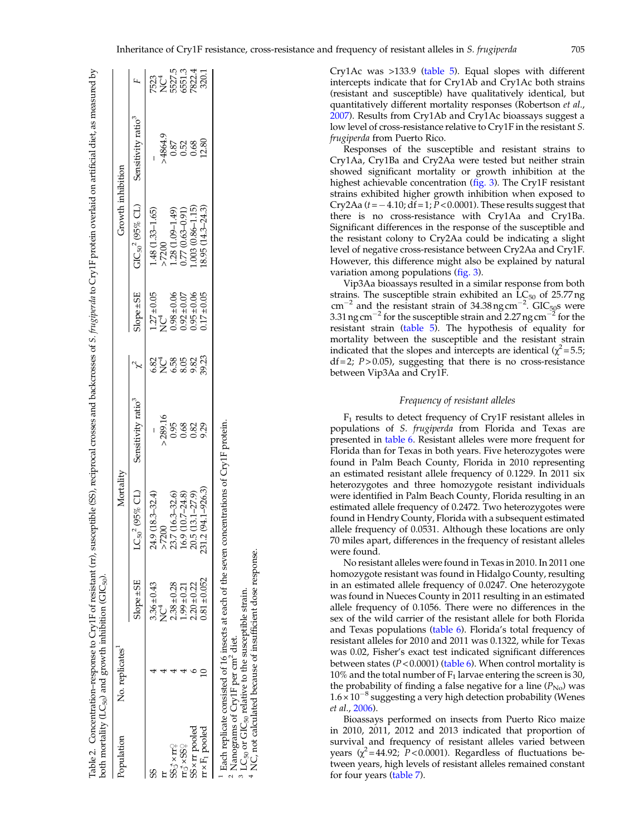<span id="page-5-0"></span>

| <i>Population</i>     | No. replicates |                                    | Mortality            |                                |                      |                                    | Growth inhibition                                                           |                                |                                           |
|-----------------------|----------------|------------------------------------|----------------------|--------------------------------|----------------------|------------------------------------|-----------------------------------------------------------------------------|--------------------------------|-------------------------------------------|
|                       |                | $Slope \pm SE$                     | $LC_{50}^2$ (95% CL) | Sensitivity ratio <sup>3</sup> |                      | $Slope \pm SE$                     | $GIC_{50}^2$ (95% CL)                                                       | Sensitivity ratio <sup>3</sup> |                                           |
|                       |                |                                    | 24.9 (18.3-32.4)     |                                |                      |                                    | 1.48 (1.33-1.65)                                                            |                                |                                           |
|                       |                | $3.36 \pm 0.43$<br>NC <sup>4</sup> | > 7200               | > 289.16                       |                      | $1.27 \pm 0.05$<br>NC <sup>4</sup> | $>7200$                                                                     | $-4864.9$                      |                                           |
| $55^3 \times 11^2$    |                | $2.38 \pm 0.28$                    | 23.7 (16.3-32.6)     |                                | 8<br>2010<br>802 803 | $0.04 \pm 0.06$                    |                                                                             | 0.87                           | 7523<br>NC4<br>S527.5<br>6551.4<br>2822.4 |
| $T_3 \times S S_4$    |                | $1.99 \pm 0.21$                    | 16.9 (10.7-24.8)     | 0.68                           |                      | $0.92 \pm 0.07$                    | $\begin{array}{c} 1.28 \ (1.09 - 1.49) \\ 0.77 \ (0.63 - 0.91) \end{array}$ | 0.52                           |                                           |
| SS x rr pooled        |                | $2.20 \pm 0.22$                    | 20.5 (13.1-27.9)     | 0.82                           | 9.82<br>39.23        | $0.95 \pm 0.06$                    | $.003(0.86 - 1.15)$                                                         | 0.68                           |                                           |
| $r \times F_1$ pooled |                | $0.81 \pm 0.052$                   | 231.2 (94.1-926.3)   | 9.29                           |                      | $0.17 \pm 0.05$                    | $(8.95 (14.3 - 24.3))$                                                      | 12.80                          | 320.1                                     |

<sup>1</sup> Each replicate consisted of 16 insects at each of the seven concentrations of Cry1F protein.<br><sup>2</sup> Nanograms of Cry1F per cm<sup>2</sup> diet.<br><sup>3</sup> LC<sub>50</sub> or GIC<sub>50</sub> relative to the susceptible strain.<br><sup>4</sup> NC, not calculated becau Bach replicate consisted of 16 insects at each of the seven concentrations of Cry1F protein.

Nanograms of CryIF per cm<sup>2</sup> diet.<br>LC<sub>50</sub> or GIC<sub>50</sub> relative to the susceptible strain.

 $\sim$  $\omega$ 

NC, not calculated because of insufficient dose response.

Cry1Ac was >133.9 ([table 5\)](#page-8-0). Equal slopes with different intercepts indicate that for Cry1Ab and Cry1Ac both strains (resistant and susceptible) have qualitatively identical, but quantitatively different mortality responses (Robertson et al., [2007](#page-12-0)). Results from Cry1Ab and Cry1Ac bioassays suggest a low level of cross-resistance relative to Cry1F in the resistant S. frugiperda from Puerto Rico.

Responses of the susceptible and resistant strains to Cry1Aa, Cry1Ba and Cry2Aa were tested but neither strain showed significant mortality or growth inhibition at the highest achievable concentration [\(fig. 3](#page-9-0)). The Cry1F resistant strains exhibited higher growth inhibition when exposed to Cry2Aa  $(t=-4.10; df=1; P<0.0001)$ . These results suggest that there is no cross-resistance with Cry1Aa and Cry1Ba. Significant differences in the response of the susceptible and the resistant colony to Cry2Aa could be indicating a slight level of negative cross-resistance between Cry2Aa and Cry1F. However, this difference might also be explained by natural variation among populations [\(fig. 3\)](#page-9-0).

Vip3Aa bioassays resulted in a similar response from both strains. The susceptible strain exhibited an  $\overline{LC}_{50}$  of 25.77 ng cm<sup>-2</sup> and the resistant strain of 34.38 ng cm<sup>-2</sup>. GIC<sub>50</sub>s were<br>3.31 ng cm<sup>-2</sup> for the susceptible strain and 2.27 ng cm<sup>-2</sup> for the resistant strain [\(table 5\)](#page-8-0). The hypothesis of equality for mortality between the susceptible and the resistant strain indicated that the slopes and intercepts are identical ( $\chi^2$ =5.5;  $df = 2$ ;  $P > 0.05$ ), suggesting that there is no cross-resistance between Vip3Aa and Cry1F.

# Frequency of resistant alleles

F1 results to detect frequency of Cry1F resistant alleles in populations of S. frugiperda from Florida and Texas are presented in [table 6.](#page-9-0) Resistant alleles were more frequent for Florida than for Texas in both years. Five heterozygotes were found in Palm Beach County, Florida in 2010 representing an estimated resistant allele frequency of 0.1229. In 2011 six heterozygotes and three homozygote resistant individuals were identified in Palm Beach County, Florida resulting in an estimated allele frequency of 0.2472. Two heterozygotes were found in Hendry County, Florida with a subsequent estimated allele frequency of 0.0531. Although these locations are only 70 miles apart, differences in the frequency of resistant alleles were found.

No resistant alleles were found in Texas in 2010. In 2011 one homozygote resistant was found in Hidalgo County, resulting in an estimated allele frequency of 0.0247. One heterozygote was found in Nueces County in 2011 resulting in an estimated allele frequency of 0.1056. There were no differences in the sex of the wild carrier of the resistant allele for both Florida and Texas populations [\(table 6\)](#page-9-0). Florida's total frequency of resistant alleles for 2010 and 2011 was 0.1322, while for Texas was 0.02, Fisher's exact test indicated significant differences between states ( $P < 0.0001$ ) [\(table 6\)](#page-9-0). When control mortality is 10% and the total number of  $F_1$  larvae entering the screen is 30, the probability of finding a false negative for a line  $(P_{\text{No}})$  was  $1.6 \times 10^{-8}$  suggesting a very high detection probability (Wenes et al., [2006\)](#page-12-0).

Bioassays performed on insects from Puerto Rico maize in 2010, 2011, 2012 and 2013 indicated that proportion of survival and frequency of resistant alleles varied between years  $(\chi^2 = 44.92; P < 0.0001)$ . Regardless of fluctuations between years, high levels of resistant alleles remained constant for four years [\(table 7\)](#page-9-0).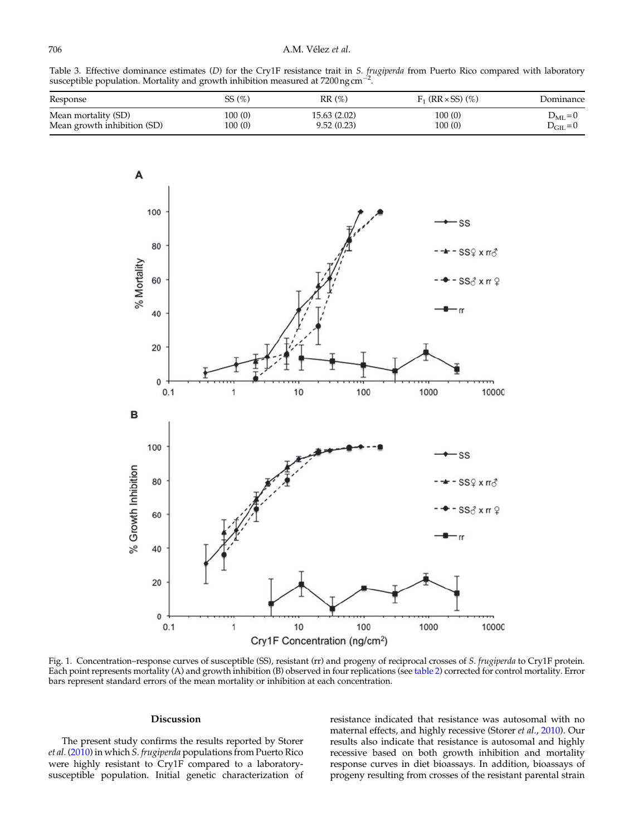<span id="page-6-0"></span>

Table 3. Effective dominance estimates (D) for the Cry1F resistance trait in S. frugiperda from Puerto Rico compared with laboratory susceptible population. Mortality and growth inhibition measured at 7200 ng cm<sup>-2</sup>.

| Response                    | SS(%)   | RR(%)        | $F_1$ (RR $\times$ SS) (%) | Dominance            |
|-----------------------------|---------|--------------|----------------------------|----------------------|
| Mean mortality (SD)         | 100 (0) | 15.63 (2.02) | 100(0)                     | $D_{ML} = 0$         |
| Mean growth inhibition (SD) | 100 (0) | 9.52(0.23)   | 100(0)                     | $D_{\text{GIL}} = 0$ |



Fig. 1. Concentration–response curves of susceptible (SS), resistant (rr) and progeny of reciprocal crosses of S. frugiperda to Cry1F protein. Each point represents mortality (A) and growth inhibition (B) observed in four replications (see table 2) corrected for control mortality. Error bars represent standard errors of the mean mortality or inhibition at each concentration.

# Discussion

The present study confirms the results reported by Storer et al. [\(2010](#page-12-0)) in which S. frugiperda populations from Puerto Rico were highly resistant to Cry1F compared to a laboratorysusceptible population. Initial genetic characterization of resistance indicated that resistance was autosomal with no maternal effects, and highly recessive (Storer et al., [2010](#page-12-0)). Our results also indicate that resistance is autosomal and highly recessive based on both growth inhibition and mortality response curves in diet bioassays. In addition, bioassays of progeny resulting from crosses of the resistant parental strain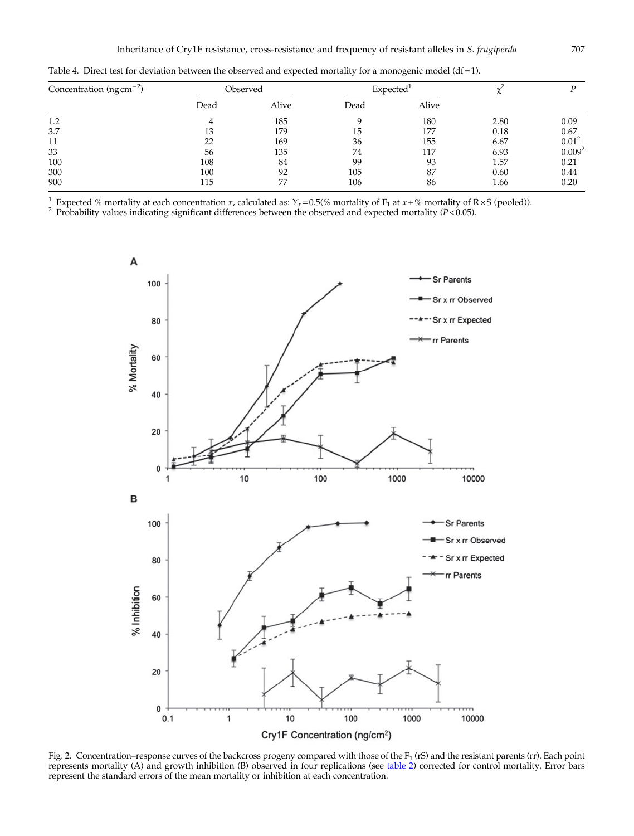| Concentration ( $ng\ cm^{-2}$ ) |      | Observed | <b>Expected</b> |       |      |                    |
|---------------------------------|------|----------|-----------------|-------|------|--------------------|
|                                 | Dead | Alive    | Dead            | Alive |      |                    |
| 1.2                             |      | 185      |                 | 180   | 2.80 | 0.09               |
| 3.7                             | 13   | 179      | 15              | 177   | 0.18 | 0.67               |
| 11                              | 22   | 169      | 36              | 155   | 6.67 | $0.01^2$           |
| 33                              | 56   | 135      | 74              | 117   | 6.93 | 0.009 <sup>2</sup> |
| 100                             | 108  | 84       | 99              | 93    | 1.57 | 0.21               |
| 300                             | 100  | 92       | 105             | 87    | 0.60 | 0.44               |
| 900                             | 115  | 77       | 106             | 86    | 1.66 | 0.20               |

<span id="page-7-0"></span>Table 4. Direct test for deviation between the observed and expected mortality for a monogenic model (df = 1).

<sup>1</sup> Expected % mortality at each concentration *x*, calculated as:  $Y_x = 0.5$ % mortality of  $F_1$  at *x* + % mortality of R × S (pooled)).<br><sup>2</sup> Probability values indicating significant differences between the observed and



Fig. 2. Concentration–response curves of the backcross progeny compared with those of the F<sub>1</sub> (rS) and the resistant parents (rr). Each point represents mortality (A) and growth inhibition (B) observed in four replications (see table 2) corrected for control mortality. Error bars represent the standard errors of the mean mortality or inhibition at each concentration.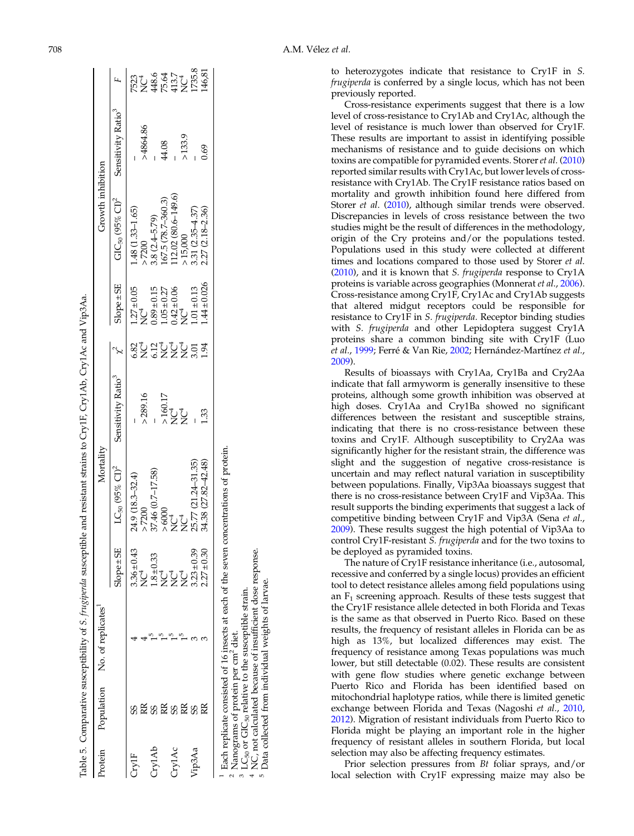| Protein |                                                | Population No. of replicates                                                                                                                                                 |                     | Mortality                                                                              |                                |                                      |                                                                          | Growth inhibition                          |                                |                                                         |
|---------|------------------------------------------------|------------------------------------------------------------------------------------------------------------------------------------------------------------------------------|---------------------|----------------------------------------------------------------------------------------|--------------------------------|--------------------------------------|--------------------------------------------------------------------------|--------------------------------------------|--------------------------------|---------------------------------------------------------|
|         |                                                |                                                                                                                                                                              | $Slope \pm SE$      | $LC_{50}$ (95% $Cl)^2$                                                                 | Sensitivity Ratio <sup>3</sup> |                                      | $Slope \pm SE$                                                           | $GIC_{50}$ (95% $Cl)^2$                    | Sensitivity Ratio <sup>3</sup> |                                                         |
| Fryl    |                                                |                                                                                                                                                                              | $3.36 \pm 0.43$     | 24.9 (18.3-32.4)                                                                       |                                | ន្លូវ ដូច្នុំ ដូច<br>និង ដូច្នុំ ដូច | $1.27 \pm 0.05$<br>NC <sup>4</sup>                                       | 1.48 (1.33-1.65)                           |                                | 7523<br>NC4<br>NG4 37<br>NC4<br>NG4 375.8<br>NGA 375.81 |
|         |                                                |                                                                                                                                                                              | t<br>Z              | > 7200                                                                                 | > 289.16                       |                                      |                                                                          | $-7200$                                    | >4864.86                       |                                                         |
| Cry1Ab  |                                                |                                                                                                                                                                              | .33<br>$1.8 \pm 0.$ | 37.46 (0.7-17.58)                                                                      |                                |                                      |                                                                          | $3.8$ $(2.4-5.79)$<br>167.5 $(78.7-360.3)$ |                                |                                                         |
|         |                                                |                                                                                                                                                                              | <b>D</b><br>NC      |                                                                                        |                                |                                      |                                                                          |                                            | 44.08                          |                                                         |
| Cry1Ac  | SS                                             |                                                                                                                                                                              | J<br>Z              | $\times6000$ NC <sup>4</sup>                                                           | >160.17<br>NU<br>^ NU          |                                      | $0.89 \pm 0.15$<br>1.05 $\pm$ 0.27<br>0.42 $\pm$ 0.06<br>NC <sup>4</sup> | $12.02(80.6 - 149.6)$                      |                                |                                                         |
|         |                                                |                                                                                                                                                                              | <b>Č</b>            | ţ                                                                                      |                                |                                      |                                                                          | .15,000                                    | >133.9                         |                                                         |
| Tip3Aa  |                                                |                                                                                                                                                                              | $3.23 \pm 0.39$     | 25.77 (21.24-31.35)<br>34.38 (27.82-42.48)                                             |                                |                                      | $.01 \pm 0.13$                                                           | $.31(2.35 - 4.37)$                         |                                |                                                         |
|         |                                                |                                                                                                                                                                              | $2.27 \pm 0.30$     |                                                                                        | ြိ                             | 1.94                                 | $.44 \pm 0.026$                                                          | 2.27 (2.18-2.36)                           | .69                            |                                                         |
|         | Nanograms of protein per cm <sup>2</sup> diet. | NC, not calculated because of insufficient dose response.<br>Data collected from individual weights of larvae.<br>$LC_{50}$ or $GC_{50}$ relative to the susceptible strain. |                     | Each replicate consisted of 16 insects at each of the seven concentrations of protein. |                                |                                      |                                                                          |                                            |                                |                                                         |

 $\infty$ 

Table 5. Comparative susceptibility of

S. frugiperda susceptible and resistant strains to Cry1F, Cry1Ab, Cry1Ac and Vip3Aa.

Table 5. Comparative susceptibility of 8. frugiperda susceptible and resistant strains to CryIF, CryIAb, CryIAc and Vip3Aa

<span id="page-8-0"></span>708 A.M. Vélez et al.

to heterozygotes indicate that resistance to Cry1F in S. frugiperda is conferred by a single locus, which has not been previously reported.

Cross-resistance experiments suggest that there is a low level of cross-resistance to Cry1Ab and Cry1Ac, although the level of resistance is much lower than observed for Cry1F. These results are important to assist in identifying possible mechanisms of resistance and to guide decisions on which toxins are compatible for pyramided events. Storer et al. ([2010\)](#page-12-0) reported similar results with Cry1Ac, but lower levels of crossresistance with Cry1Ab. The Cry1F resistance ratios based on mortality and growth inhibition found here differed from Storer et al. [\(2010](#page-12-0)), although similar trends were observed. Discrepancies in levels of cross resistance between the two studies might be the result of differences in the methodology, origin of the Cry proteins and/or the populations tested. Populations used in this study were collected at different times and locations compared to those used by Storer et al. [\(2010](#page-12-0)), and it is known that S. frugiperda response to Cry1A proteins is variable across geographies (Monnerat et al., [2006\)](#page-11-0). Cross-resistance among Cry1F, Cry1Ac and Cry1Ab suggests that altered midgut receptors could be responsible for resistance to Cry1F in S. frugiperda. Receptor binding studies with S. frugiperda and other Lepidoptera suggest Cry1A proteins share a common binding site with Cry1F (Luo et al., [1999](#page-11-0); Ferré & Van Rie, [2002;](#page-11-0) Hernández-Martínez et al., [2009](#page-11-0)).

Results of bioassays with Cry1Aa, Cry1Ba and Cry2Aa indicate that fall armyworm is generally insensitive to these proteins, although some growth inhibition was observed at high doses. Cry1Aa and Cry1Ba showed no significant differences between the resistant and susceptible strains, indicating that there is no cross-resistance between these toxins and Cry1F. Although susceptibility to Cry2Aa was significantly higher for the resistant strain, the difference was slight and the suggestion of negative cross-resistance is uncertain and may reflect natural variation in susceptibility between populations. Finally, Vip3Aa bioassays suggest that there is no cross-resistance between Cry1F and Vip3Aa. This result supports the binding experiments that suggest a lack of competitive binding between Cry1F and Vip3A (Sena et al., [2009](#page-12-0)). These results suggest the high potential of Vip3Aa to control Cry1F-resistant S. frugiperda and for the two toxins to be deployed as pyramided toxins.

The nature of Cry1F resistance inheritance (i.e., autosomal, recessive and conferred by a single locus) provides an efficient tool to detect resistance alleles among field populations using an  $F_1$  screening approach. Results of these tests suggest that the Cry1F resistance allele detected in both Florida and Texas is the same as that observed in Puerto Rico. Based on these results, the frequency of resistant alleles in Florida can be as high as 13%, but localized differences may exist. The frequency of resistance among Texas populations was much lower, but still detectable (0.02). These results are consistent with gene flow studies where genetic exchange between Puerto Rico and Florida has been identified based on mitochondrial haplotype ratios, while there is limited genetic exchange between Florida and Texas (Nagoshi et al., [2010](#page-11-0), [2012](#page-11-0)). Migration of resistant individuals from Puerto Rico to Florida might be playing an important role in the higher frequency of resistant alleles in southern Florida, but local selection may also be affecting frequency estimates.

Prior selection pressures from Bt foliar sprays, and/or local selection with Cry1F expressing maize may also be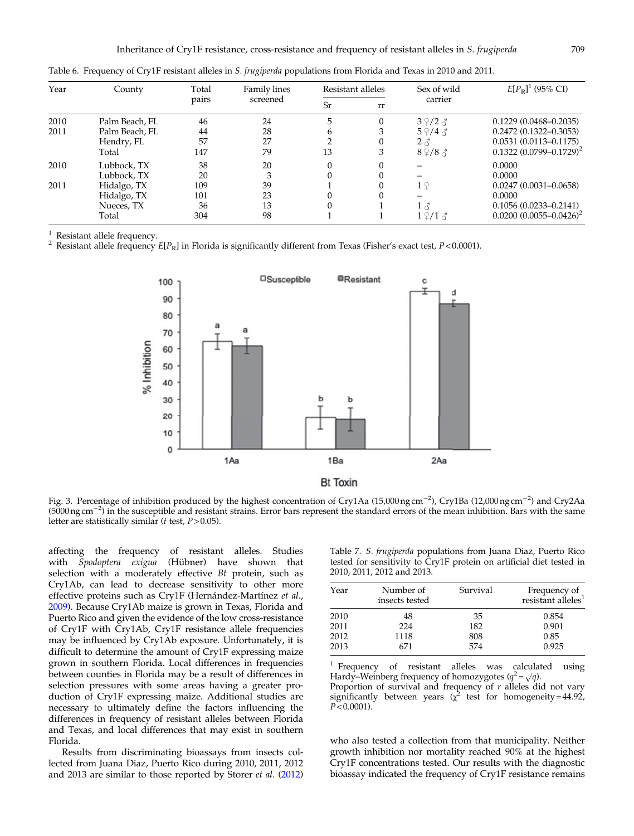| Year         | County                                                                          | Total                               | <b>Family lines</b>             |         | Resistant alleles | Sex of wild                                                                        | $E[P_{\rm R}]^1$ (95% CI)                                                                                           |
|--------------|---------------------------------------------------------------------------------|-------------------------------------|---------------------------------|---------|-------------------|------------------------------------------------------------------------------------|---------------------------------------------------------------------------------------------------------------------|
|              |                                                                                 | pairs                               | screened                        | Sr      | rr                | carrier                                                                            |                                                                                                                     |
| 2010<br>2011 | Palm Beach, FL<br>Palm Beach, FL<br>Hendry, FL<br>Total                         | 46<br>44<br>57<br>147               | 24<br>28<br>27<br>79            | h<br>13 | 0<br>3<br>0<br>3  | $3\sqrt{2}$ 3<br>$5\frac{\circ}{4}$ $\circ$<br>$2 \delta$<br>$8\sqrt{2}/8\sqrt{3}$ | $0.1229(0.0468 - 0.2035)$<br>$0.2472(0.1322 - 0.3053)$<br>$0.0531(0.0113 - 0.1175)$<br>$0.1322 (0.0799 - 0.1729)^2$ |
| 2010<br>2011 | Lubbock, TX<br>Lubbock, TX<br>Hidalgo, TX<br>Hidalgo, TX<br>Nueces, TX<br>Total | 38<br>20<br>109<br>101<br>36<br>304 | 20<br>3<br>39<br>23<br>13<br>98 |         |                   | 1 <sup>°</sup><br>$1 \delta$<br>$1 \n9 /1 \n3$                                     | 0.0000<br>0.0000<br>$0.0247(0.0031 - 0.0658)$<br>0.0000<br>$0.1056(0.0233 - 0.2141)$<br>$0.0200(0.0055 - 0.0426)^2$ |

<span id="page-9-0"></span>Table 6. Frequency of Cry1F resistant alleles in S. frugiperda populations from Florida and Texas in 2010 and 2011.

<sup>1</sup> Resistant allele frequency.<br><sup>2</sup> Resistant allele frequency E[P<sub>R</sub>] in Florida is significantly different from Texas (Fisher's exact test, P<0.0001).



Fig. 3. Percentage of inhibition produced by the highest concentration of Cry1Aa (15,000 ng cm<sup>-2</sup>), Cry1Ba (12,000 ng cm<sup>-2</sup>) and Cry2Aa  $(5000 \text{ ng cm}^{-2})$  in the susceptible and resistant strains. Error bars represent the standard errors of the mean inhibition. Bars with the same letter are statistically similar ( $t$  test,  $P > 0.05$ ).

affecting the frequency of resistant alleles. Studies with Spodoptera exigua (Hübner) have shown that selection with a moderately effective Bt protein, such as Cry1Ab, can lead to decrease sensitivity to other more effective proteins such as Cry1F (Hernández-Martínez et al., [2009](#page-11-0)). Because Cry1Ab maize is grown in Texas, Florida and Puerto Rico and given the evidence of the low cross-resistance of Cry1F with Cry1Ab, Cry1F resistance allele frequencies may be influenced by Cry1Ab exposure. Unfortunately, it is difficult to determine the amount of Cry1F expressing maize grown in southern Florida. Local differences in frequencies between counties in Florida may be a result of differences in selection pressures with some areas having a greater production of Cry1F expressing maize. Additional studies are necessary to ultimately define the factors influencing the differences in frequency of resistant alleles between Florida and Texas, and local differences that may exist in southern Florida.

Results from discriminating bioassays from insects collected from Juana Diaz, Puerto Rico during 2010, 2011, 2012 and 2013 are similar to those reported by Storer et al. ([2012\)](#page-12-0)

Table 7. S. frugiperda populations from Juana Diaz, Puerto Rico tested for sensitivity to Cry1F protein on artificial diet tested in 2010, 2011, 2012 and 2013.

| Year | Number of<br>insects tested | Survival | Frequency of<br>resistant alleles <sup>1</sup> |
|------|-----------------------------|----------|------------------------------------------------|
| 2010 | 48                          | 35       | 0.854                                          |
| 2011 | 224                         | 182      | 0.901                                          |
| 2012 | 1118                        | 808      | 0.85                                           |
| 2013 | 671                         | 574      | 0.925                                          |
|      |                             |          |                                                |

<sup>1</sup> Frequency of resistant alleles was calculated using Hardy–Weinberg frequency of homozygotes  $(q^2 = \sqrt{q})$ . Proportion of survival and frequency of  $r$  alleles did not vary significantly between years ( $\chi^2$  test for homogeneity=44.92,  $P < 0.0001$ ).

who also tested a collection from that municipality. Neither growth inhibition nor mortality reached 90% at the highest Cry1F concentrations tested. Our results with the diagnostic bioassay indicated the frequency of Cry1F resistance remains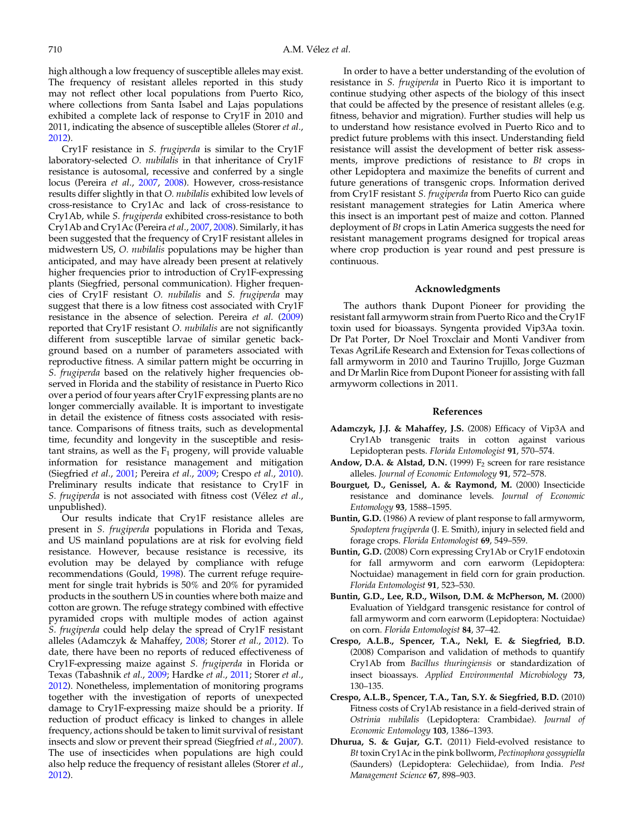<span id="page-10-0"></span>high although a low frequency of susceptible alleles may exist. The frequency of resistant alleles reported in this study may not reflect other local populations from Puerto Rico, where collections from Santa Isabel and Lajas populations exhibited a complete lack of response to Cry1F in 2010 and 2011, indicating the absence of susceptible alleles (Storer et al., [2012](#page-12-0)).

Cry1F resistance in S. frugiperda is similar to the Cry1F laboratory-selected O. nubilalis in that inheritance of Cry1F resistance is autosomal, recessive and conferred by a single locus (Pereira et al., [2007](#page-11-0), [2008](#page-12-0)). However, cross-resistance results differ slightly in that O. nubilalis exhibited low levels of cross-resistance to Cry1Ac and lack of cross-resistance to Cry1Ab, while S. frugiperda exhibited cross-resistance to both Cry1Ab and Cry1Ac (Pereira et al., [2007](#page-11-0), [2008](#page-12-0)). Similarly, it has been suggested that the frequency of Cry1F resistant alleles in midwestern US, O. nubilalis populations may be higher than anticipated, and may have already been present at relatively higher frequencies prior to introduction of Cry1F-expressing plants (Siegfried, personal communication). Higher frequencies of Cry1F resistant O. nubilalis and S. frugiperda may suggest that there is a low fitness cost associated with Cry1F resistance in the absence of selection. Pereira et al. ([2009\)](#page-12-0) reported that Cry1F resistant O. *nubilalis* are not significantly different from susceptible larvae of similar genetic background based on a number of parameters associated with reproductive fitness. A similar pattern might be occurring in S. frugiperda based on the relatively higher frequencies observed in Florida and the stability of resistance in Puerto Rico over a period of four years after Cry1F expressing plants are no longer commercially available. It is important to investigate in detail the existence of fitness costs associated with resistance. Comparisons of fitness traits, such as developmental time, fecundity and longevity in the susceptible and resistant strains, as well as the  $F_1$  progeny, will provide valuable information for resistance management and mitigation (Siegfried et al., [2001;](#page-12-0) Pereira et al., [2009;](#page-12-0) Crespo et al., 2010). Preliminary results indicate that resistance to Cry1F in S. frugiperda is not associated with fitness cost (Vélez et al., unpublished).

Our results indicate that Cry1F resistance alleles are present in S. frugiperda populations in Florida and Texas, and US mainland populations are at risk for evolving field resistance. However, because resistance is recessive, its evolution may be delayed by compliance with refuge recommendations (Gould, [1998](#page-11-0)). The current refuge requirement for single trait hybrids is 50% and 20% for pyramided products in the southern US in counties where both maize and cotton are grown. The refuge strategy combined with effective pyramided crops with multiple modes of action against S. frugiperda could help delay the spread of Cry1F resistant alleles (Adamczyk & Mahaffey, 2008; Storer et al., [2012\)](#page-12-0). To date, there have been no reports of reduced effectiveness of Cry1F-expressing maize against S. frugiperda in Florida or Texas (Tabashnik et al., [2009](#page-12-0); Hardke et al., [2011](#page-11-0); Storer et al., [2012](#page-12-0)). Nonetheless, implementation of monitoring programs together with the investigation of reports of unexpected damage to Cry1F-expressing maize should be a priority. If reduction of product efficacy is linked to changes in allele frequency, actions should be taken to limit survival of resistant insects and slow or prevent their spread (Siegfried et al., [2007\)](#page-12-0). The use of insecticides when populations are high could also help reduce the frequency of resistant alleles (Storer et al., [2012](#page-12-0)).

In order to have a better understanding of the evolution of resistance in S. frugiperda in Puerto Rico it is important to continue studying other aspects of the biology of this insect that could be affected by the presence of resistant alleles (e.g. fitness, behavior and migration). Further studies will help us to understand how resistance evolved in Puerto Rico and to predict future problems with this insect. Understanding field resistance will assist the development of better risk assessments, improve predictions of resistance to Bt crops in other Lepidoptera and maximize the benefits of current and future generations of transgenic crops. Information derived from Cry1F resistant S. frugiperda from Puerto Rico can guide resistant management strategies for Latin America where this insect is an important pest of maize and cotton. Planned deployment of Bt crops in Latin America suggests the need for resistant management programs designed for tropical areas where crop production is year round and pest pressure is continuous.

# Acknowledgments

The authors thank Dupont Pioneer for providing the resistant fall armyworm strain from Puerto Rico and the Cry1F toxin used for bioassays. Syngenta provided Vip3Aa toxin. Dr Pat Porter, Dr Noel Troxclair and Monti Vandiver from Texas AgriLife Research and Extension for Texas collections of fall armyworm in 2010 and Taurino Trujillo, Jorge Guzman and Dr Marlin Rice from Dupont Pioneer for assisting with fall armyworm collections in 2011.

#### References

- Adamczyk, J.J. & Mahaffey, J.S. (2008) Efficacy of Vip3A and Cry1Ab transgenic traits in cotton against various Lepidopteran pests. Florida Entomologist 91, 570–574.
- Andow, D.A. & Alstad, D.N. (1999)  $F_2$  screen for rare resistance alleles. Journal of Economic Entomology 91, 572–578.
- Bourguet, D., Genissel, A. & Raymond, M. (2000) Insecticide resistance and dominance levels. Journal of Economic Entomology 93, 1588–1595.
- Buntin, G.D. (1986) A review of plant response to fall armyworm, Spodoptera frugiperda (J. E. Smith), injury in selected field and forage crops. Florida Entomologist 69, 549–559.
- Buntin, G.D. (2008) Corn expressing Cry1Ab or Cry1F endotoxin for fall armyworm and corn earworm (Lepidoptera: Noctuidae) management in field corn for grain production. Florida Entomologist 91, 523–530.
- Buntin, G.D., Lee, R.D., Wilson, D.M. & McPherson, M. (2000) Evaluation of Yieldgard transgenic resistance for control of fall armyworm and corn earworm (Lepidoptera: Noctuidae) on corn. Florida Entomologist 84, 37–42.
- Crespo, A.L.B., Spencer, T.A., Nekl, E. & Siegfried, B.D. (2008) Comparison and validation of methods to quantify Cry1Ab from Bacillus thuringiensis or standardization of insect bioassays. Applied Environmental Microbiology 73, 130–135.
- Crespo, A.L.B., Spencer, T.A., Tan, S.Y. & Siegfried, B.D. (2010) Fitness costs of Cry1Ab resistance in a field-derived strain of Ostrinia nubilalis (Lepidoptera: Crambidae). Journal of Economic Entomology 103, 1386–1393.
- Dhurua, S. & Gujar, G.T. (2011) Field-evolved resistance to Bt toxin Cry1Ac in the pink bollworm, Pectinophora gossypiella (Saunders) (Lepidoptera: Gelechiidae), from India. Pest Management Science 67, 898–903.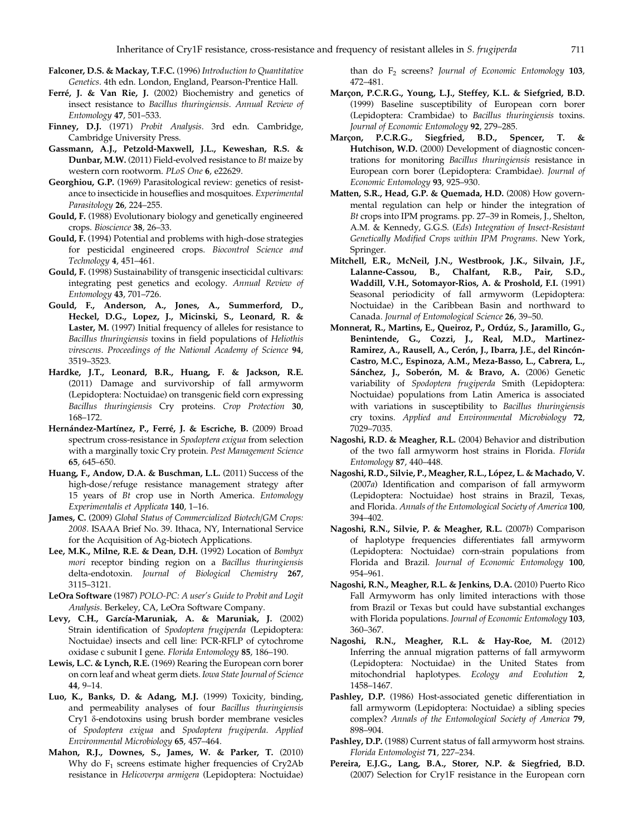- <span id="page-11-0"></span>Falconer, D.S. & Mackay, T.F.C. (1996) Introduction to Quantitative Genetics. 4th edn. London, England, Pearson-Prentice Hall.
- Ferré, J. & Van Rie, J. (2002) Biochemistry and genetics of insect resistance to Bacillus thuringiensis. Annual Review of Entomology 47, 501–533.
- Finney, D.J. (1971) Probit Analysis. 3rd edn. Cambridge, Cambridge University Press.
- Gassmann, A.J., Petzold-Maxwell, J.L., Keweshan, R.S. & Dunbar, M.W. (2011) Field-evolved resistance to Bt maize by western corn rootworm. PLoS One 6, e22629.
- Georghiou, G.P. (1969) Parasitological review: genetics of resistance to insecticide in houseflies and mosquitoes. Experimental Parasitology 26, 224-255.
- Gould, F. (1988) Evolutionary biology and genetically engineered crops. Bioscience 38, 26–33.
- Gould, F. (1994) Potential and problems with high-dose strategies for pesticidal engineered crops. Biocontrol Science and Technology 4, 451–461.
- Gould, F. (1998) Sustainability of transgenic insecticidal cultivars: integrating pest genetics and ecology. Annual Review of Entomology 43, 701–726.
- Gould, F., Anderson, A., Jones, A., Summerford, D., Heckel, D.G., Lopez, J., Micinski, S., Leonard, R. & Laster, M. (1997) Initial frequency of alleles for resistance to Bacillus thuringiensis toxins in field populations of Heliothis virescens. Proceedings of the National Academy of Science 94, 3519–3523.
- Hardke, J.T., Leonard, B.R., Huang, F. & Jackson, R.E. (2011) Damage and survivorship of fall armyworm (Lepidoptera: Noctuidae) on transgenic field corn expressing Bacillus thuringiensis Cry proteins. Crop Protection 30, 168–172.
- Hernández-Martínez, P., Ferré, J. & Escriche, B. (2009) Broad spectrum cross-resistance in Spodoptera exigua from selection with a marginally toxic Cry protein. Pest Management Science 65, 645–650.
- Huang, F., Andow, D.A. & Buschman, L.L. (2011) Success of the high-dose/refuge resistance management strategy after 15 years of Bt crop use in North America. Entomology Experimentalis et Applicata 140, 1–16.
- James, C. (2009) Global Status of Commercialized Biotech/GM Crops: 2008. ISAAA Brief No. 39. Ithaca, NY, International Service for the Acquisition of Ag-biotech Applications.
- Lee, M.K., Milne, R.E. & Dean, D.H. (1992) Location of Bombyx mori receptor binding region on a Bacillus thuringiensis delta-endotoxin. Journal of Biological Chemistry 267, 3115–3121.
- LeOra Software (1987) POLO-PC: A user's Guide to Probit and Logit Analysis. Berkeley, CA, LeOra Software Company.
- Levy, C.H., García-Maruniak, A. & Maruniak, J. (2002) Strain identification of Spodoptera frugiperda (Lepidoptera: Noctuidae) insects and cell line: PCR-RFLP of cytochrome oxidase c subunit I gene. Florida Entomology 85, 186–190.
- Lewis, L.C. & Lynch, R.E. (1969) Rearing the European corn borer on corn leaf and wheat germ diets. Iowa State Journal of Science 44, 9–14.
- Luo, K., Banks, D. & Adang, M.J. (1999) Toxicity, binding, and permeability analyses of four Bacillus thuringiensis Cry1 δ-endotoxins using brush border membrane vesicles of Spodoptera exigua and Spodoptera frugiperda. Applied Environmental Microbiology 65, 457–464.
- Mahon, R.J., Downes, S., James, W. & Parker, T. (2010) Why do  $F_1$  screens estimate higher frequencies of Cry2Ab resistance in Helicoverpa armigera (Lepidoptera: Noctuidae)

than do  $F_2$  screens? Journal of Economic Entomology 103, 472–481.

- Marçon, P.C.R.G., Young, L.J., Steffey, K.L. & Siefgried, B.D. (1999) Baseline susceptibility of European corn borer (Lepidoptera: Crambidae) to Bacillus thuringiensis toxins. Journal of Economic Entomology 92, 279–285.
- Marçon, P.C.R.G., Siegfried, B.D., Spencer, T. & Hutchison, W.D. (2000) Development of diagnostic concentrations for monitoring Bacillus thuringiensis resistance in European corn borer (Lepidoptera: Crambidae). Journal of Economic Entomology 93, 925–930.
- Matten, S.R., Head, G.P. & Quemada, H.D. (2008) How governmental regulation can help or hinder the integration of Bt crops into IPM programs. pp. 27–39 in Romeis, J., Shelton, A.M. & Kennedy, G.G.S. (Eds) Integration of Insect-Resistant Genetically Modified Crops within IPM Programs. New York, Springer.
- Mitchell, E.R., McNeil, J.N., Westbrook, J.K., Silvain, J.F., Lalanne-Cassou, B., Chalfant, R.B., Pair, S.D., Waddill, V.H., Sotomayor-Rios, A. & Proshold, F.I. (1991) Seasonal periodicity of fall armyworm (Lepidoptera: Noctuidae) in the Caribbean Basin and northward to Canada. Journal of Entomological Science 26, 39–50.
- Monnerat, R., Martins, E., Queiroz, P., Ordúz, S., Jaramillo, G., Benintende, G., Cozzi, J., Real, M.D., Martinez-Ramirez, A., Rausell, A., Cerón, J., Ibarra, J.E., del Rincón-Castro, M.C., Espinoza, A.M., Meza-Basso, L., Cabrera, L., Sánchez, J., Soberón, M. & Bravo, A. (2006) Genetic variability of Spodoptera frugiperda Smith (Lepidoptera: Noctuidae) populations from Latin America is associated with variations in susceptibility to Bacillus thuringiensis cry toxins. Applied and Environmental Microbiology 72, 7029–7035.
- Nagoshi, R.D. & Meagher, R.L. (2004) Behavior and distribution of the two fall armyworm host strains in Florida. Florida Entomology 87, 440–448.
- Nagoshi, R.D., Silvie, P., Meagher, R.L., López, L. & Machado, V. (2007a) Identification and comparison of fall armyworm (Lepidoptera: Noctuidae) host strains in Brazil, Texas, and Florida. Annals of the Entomological Society of America 100, 394–402.
- Nagoshi, R.N., Silvie, P. & Meagher, R.L. (2007b) Comparison of haplotype frequencies differentiates fall armyworm (Lepidoptera: Noctuidae) corn-strain populations from Florida and Brazil. Journal of Economic Entomology 100, 954–961.
- Nagoshi, R.N., Meagher, R.L. & Jenkins, D.A. (2010) Puerto Rico Fall Armyworm has only limited interactions with those from Brazil or Texas but could have substantial exchanges with Florida populations. Journal of Economic Entomology 103, 360–367.
- Nagoshi, R.N., Meagher, R.L. & Hay-Roe, M. (2012) Inferring the annual migration patterns of fall armyworm (Lepidoptera: Noctuidae) in the United States from mitochondrial haplotypes. Ecology and Evolution 2, 1458–1467.
- Pashley, D.P. (1986) Host-associated genetic differentiation in fall armyworm (Lepidoptera: Noctuidae) a sibling species complex? Annals of the Entomological Society of America 79, 898–904.
- Pashley, D.P. (1988) Current status of fall armyworm host strains. Florida Entomologist 71, 227–234.
- Pereira, E.J.G., Lang, B.A., Storer, N.P. & Siegfried, B.D. (2007) Selection for Cry1F resistance in the European corn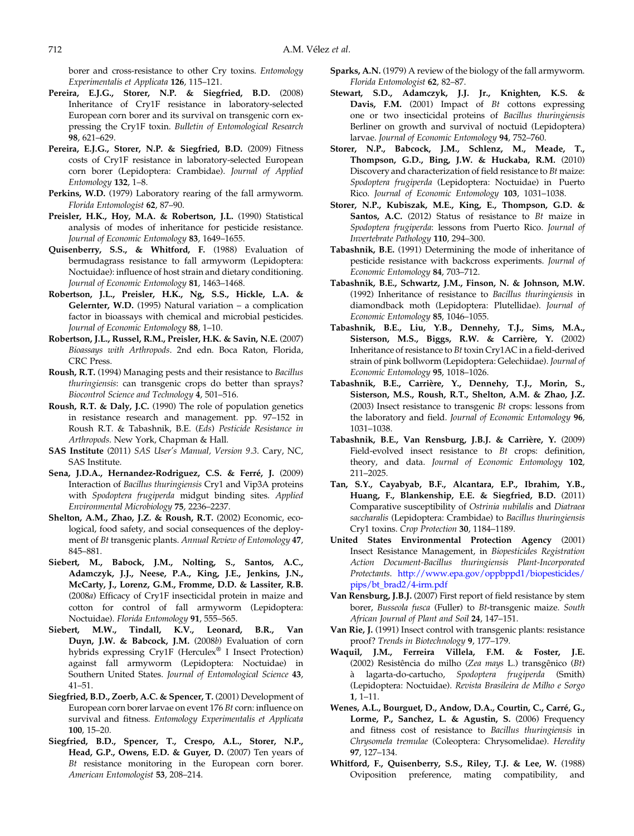<span id="page-12-0"></span>borer and cross-resistance to other Cry toxins. Entomology Experimentalis et Applicata 126, 115–121.

- Pereira, E.J.G., Storer, N.P. & Siegfried, B.D. (2008) Inheritance of Cry1F resistance in laboratory-selected European corn borer and its survival on transgenic corn expressing the Cry1F toxin. Bulletin of Entomological Research 98, 621–629.
- Pereira, E.J.G., Storer, N.P. & Siegfried, B.D. (2009) Fitness costs of Cry1F resistance in laboratory-selected European corn borer (Lepidoptera: Crambidae). Journal of Applied Entomology 132, 1–8.
- Perkins, W.D. (1979) Laboratory rearing of the fall armyworm. Florida Entomologist 62, 87–90.
- Preisler, H.K., Hoy, M.A. & Robertson, J.L. (1990) Statistical analysis of modes of inheritance for pesticide resistance. Journal of Economic Entomology 83, 1649–1655.
- Quisenberry, S.S., & Whitford, F. (1988) Evaluation of bermudagrass resistance to fall armyworm (Lepidoptera: Noctuidae): influence of host strain and dietary conditioning. Journal of Economic Entomology 81, 1463–1468.
- Robertson, J.L., Preisler, H.K., Ng, S.S., Hickle, L.A. & Gelernter, W.D. (1995) Natural variation – a complication factor in bioassays with chemical and microbial pesticides. Journal of Economic Entomology 88, 1–10.
- Robertson, J.L., Russel, R.M., Preisler, H.K. & Savin, N.E. (2007) Bioassays with Arthropods. 2nd edn. Boca Raton, Florida, CRC Press.
- Roush, R.T. (1994) Managing pests and their resistance to Bacillus thuringiensis: can transgenic crops do better than sprays? Biocontrol Science and Technology 4, 501–516.
- Roush, R.T. & Daly, J.C. (1990) The role of population genetics in resistance research and management. pp. 97–152 in Roush R.T. & Tabashnik, B.E. (Eds) Pesticide Resistance in Arthropods. New York, Chapman & Hall.
- SAS Institute (2011) SAS User's Manual, Version 9.3. Cary, NC, SAS Institute.
- Sena, J.D.A., Hernandez-Rodriguez, C.S. & Ferré, J. (2009) Interaction of Bacillus thuringiensis Cry1 and Vip3A proteins with Spodoptera frugiperda midgut binding sites. Applied Environmental Microbiology 75, 2236–2237.
- Shelton, A.M., Zhao, J.Z. & Roush, R.T. (2002) Economic, ecological, food safety, and social consequences of the deployment of Bt transgenic plants. Annual Review of Entomology 47, 845–881.
- Siebert, M., Babock, J.M., Nolting, S., Santos, A.C., Adamczyk, J.J., Neese, P.A., King, J.E., Jenkins, J.N., McCarty, J., Lorenz, G.M., Fromme, D.D. & Lassiter, R.B. (2008a) Efficacy of Cry1F insecticidal protein in maize and cotton for control of fall armyworm (Lepidoptera: Noctuidae). Florida Entomology 91, 555–565.
- Siebert, M.W., Tindall, K.V., Leonard, B.R., Van Duyn, J.W. & Babcock, J.M. (2008b) Evaluation of corn hybrids expressing Cry1F (Herculex® I Insect Protection) against fall armyworm (Lepidoptera: Noctuidae) in Southern United States. Journal of Entomological Science 43, 41–51.
- Siegfried, B.D., Zoerb, A.C. & Spencer, T. (2001) Development of European corn borer larvae on event 176 Bt corn: influence on survival and fitness. Entomology Experimentalis et Applicata 100, 15–20.
- Siegfried, B.D., Spencer, T., Crespo, A.L., Storer, N.P., Head, G.P., Owens, E.D. & Guyer, D. (2007) Ten years of Bt resistance monitoring in the European corn borer. American Entomologist 53, 208–214.
- Sparks, A.N. (1979) A review of the biology of the fall armyworm. Florida Entomologist 62, 82–87.
- Stewart, S.D., Adamczyk, J.J. Jr., Knighten, K.S. & Davis, F.M. (2001) Impact of Bt cottons expressing one or two insecticidal proteins of Bacillus thuringiensis Berliner on growth and survival of noctuid (Lepidoptera) larvae. Journal of Economic Entomology 94, 752-760.
- Storer, N.P., Babcock, J.M., Schlenz, M., Meade, T., Thompson, G.D., Bing, J.W. & Huckaba, R.M. (2010) Discovery and characterization of field resistance to Bt maize: Spodoptera frugiperda (Lepidoptera: Noctuidae) in Puerto Rico. Journal of Economic Entomology 103, 1031–1038.
- Storer, N.P., Kubiszak, M.E., King, E., Thompson, G.D. & Santos, A.C. (2012) Status of resistance to Bt maize in Spodoptera frugiperda: lessons from Puerto Rico. Journal of Invertebrate Pathology 110, 294–300.
- Tabashnik, B.E. (1991) Determining the mode of inheritance of pesticide resistance with backcross experiments. Journal of Economic Entomology 84, 703–712.
- Tabashnik, B.E., Schwartz, J.M., Finson, N. & Johnson, M.W. (1992) Inheritance of resistance to Bacillus thuringiensis in diamondback moth (Lepidoptera: Plutellidae). Journal of Economic Entomology 85, 1046–1055.
- Tabashnik, B.E., Liu, Y.B., Dennehy, T.J., Sims, M.A., Sisterson, M.S., Biggs, R.W. & Carrière, Y. (2002) Inheritance of resistance to Bt toxin Cry1AC in a field-derived strain of pink bollworm (Lepidoptera: Gelechiidae). Journal of Economic Entomology 95, 1018–1026.
- Tabashnik, B.E., Carrière, Y., Dennehy, T.J., Morin, S., Sisterson, M.S., Roush, R.T., Shelton, A.M. & Zhao, J.Z. (2003) Insect resistance to transgenic  $Bt$  crops: lessons from the laboratory and field. Journal of Economic Entomology 96, 1031–1038.
- Tabashnik, B.E., Van Rensburg, J.B.J. & Carrière, Y. (2009) Field-evolved insect resistance to Bt crops: definition, theory, and data. Journal of Economic Entomology 102, 211–2025.
- Tan, S.Y., Cayabyab, B.F., Alcantara, E.P., Ibrahim, Y.B., Huang, F., Blankenship, E.E. & Siegfried, B.D. (2011) Comparative susceptibility of Ostrinia nubilalis and Diatraea saccharalis (Lepidoptera: Crambidae) to Bacillus thuringiensis Cry1 toxins. Crop Protection 30, 1184–1189.
- United States Environmental Protection Agency (2001) Insect Resistance Management, in Biopesticides Registration Action Document-Bacillus thuringiensis Plant-Incorporated Protectants. [http://www.epa.gov/oppbppd1/biopesticides/](http://www.epa.gov/oppbppd1/biopesticides/pips/bt_brad2/4-irm.pdf) [pips/bt\\_brad2/4-irm.pdf](http://www.epa.gov/oppbppd1/biopesticides/pips/bt_brad2/4-irm.pdf)
- Van Rensburg, J.B.J. (2007) First report of field resistance by stem borer, Busseola fusca (Fuller) to Bt-transgenic maize. South African Journal of Plant and Soil 24, 147–151.
- Van Rie, J. (1991) Insect control with transgenic plants: resistance proof? Trends in Biotechnology 9, 177–179.
- Waquil, J.M., Ferreira Villela, F.M. & Foster, J.E. (2002) Resistência do milho (Zea mays L.) transgênico (Bt) à lagarta-do-cartucho, Spodoptera frugiperda (Smith) (Lepidoptera: Noctuidae). Revista Brasileira de Milho e Sorgo 1, 1–11.
- Wenes, A.L., Bourguet, D., Andow, D.A., Courtin, C., Carré, G., Lorme, P., Sanchez, L. & Agustin, S. (2006) Frequency and fitness cost of resistance to Bacillus thuringiensis in Chrysomela tremulae (Coleoptera: Chrysomelidae). Heredity 97, 127–134.
- Whitford, F., Quisenberry, S.S., Riley, T.J. & Lee, W. (1988) Oviposition preference, mating compatibility, and